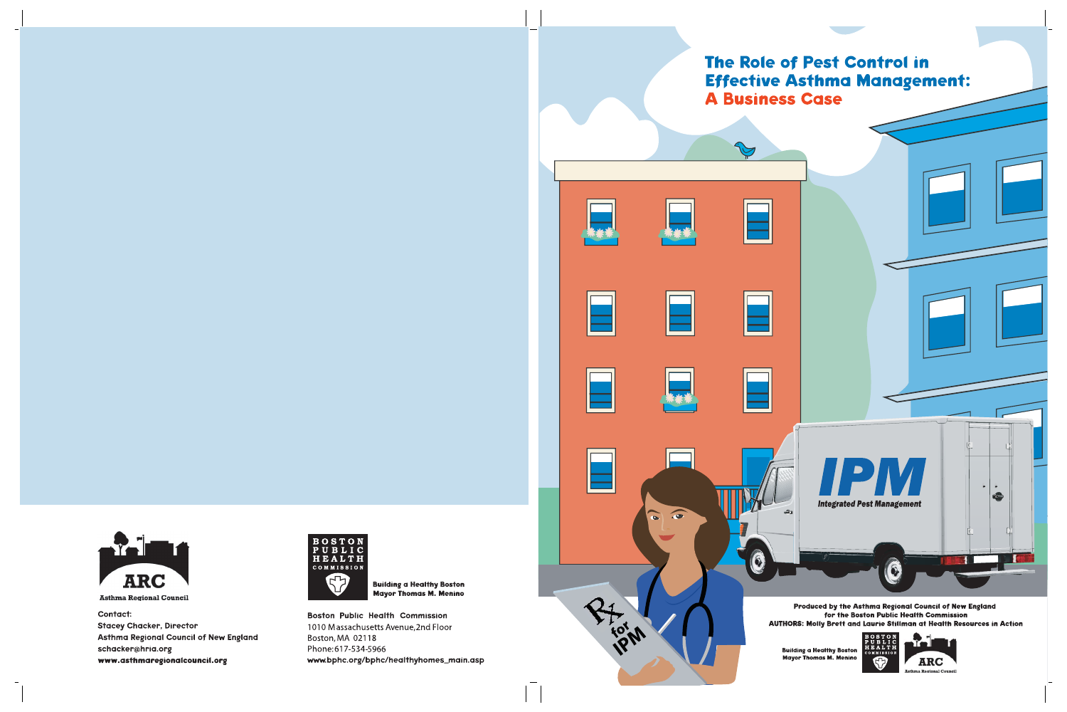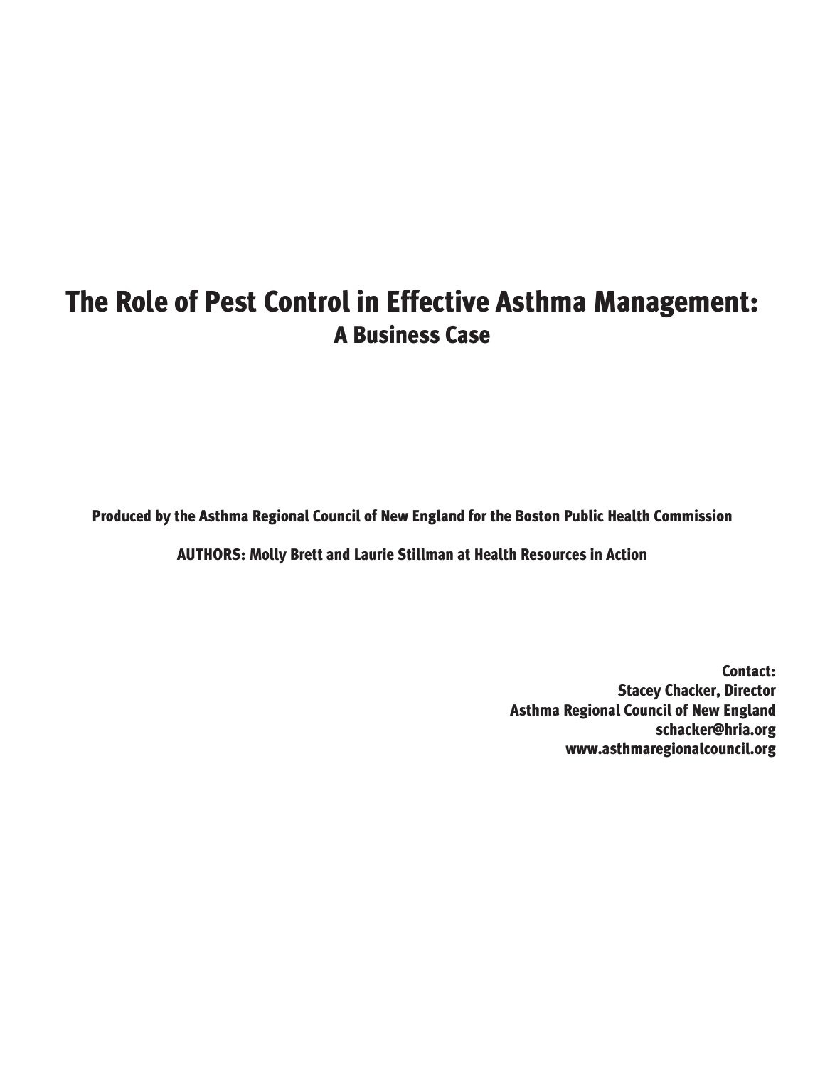# **The Role of Pest Control in Effective Asthma Management: A Business Case**

**Produced by the Asthma Regional Council of New England for the Boston Public Health Commission**

**AUTHORS: Molly Brett and Laurie Stillman at Health Resources in Action** 

**Contact: Stacey Chacker, Director Asthma Regional Council of New England schacker@hria.org www.asthmaregionalcouncil.org**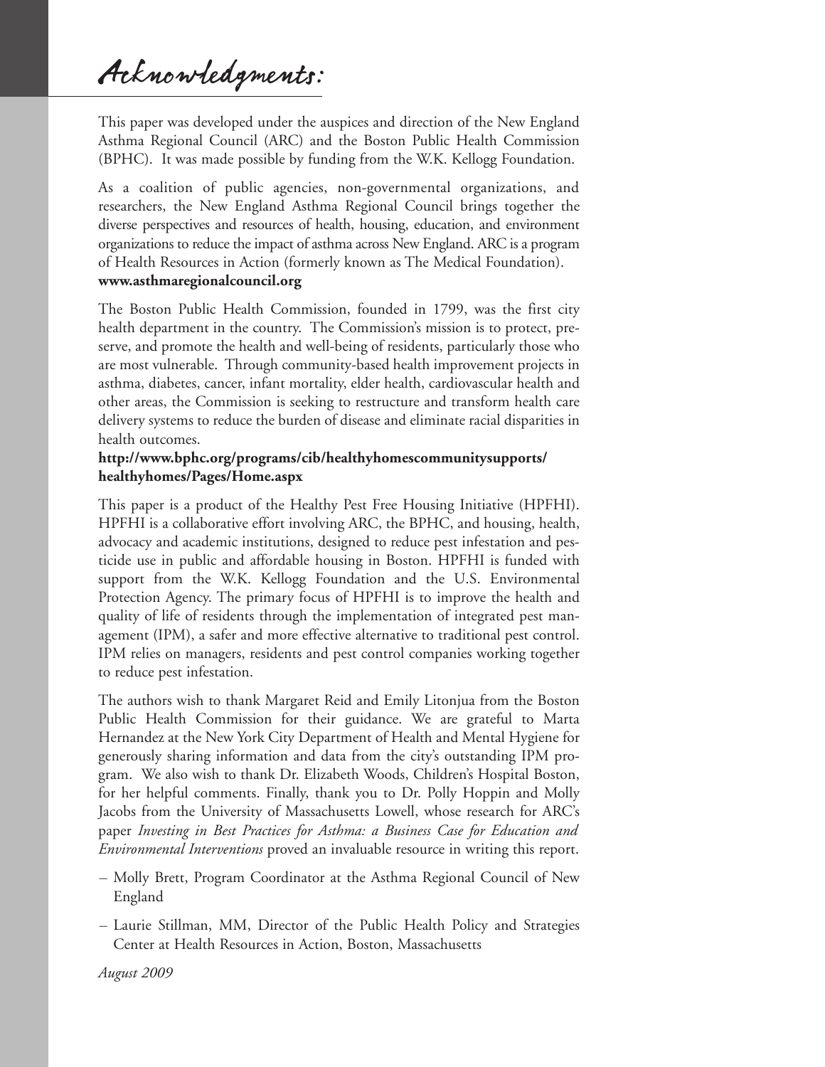Acknowledgments:

This paper was developed under the auspices and direction of the New England Asthma Regional Council (ARC) and the Boston Public Health Commission (BPHC). It was made possible by funding from the W.K. Kellogg Foundation.

As a coalition of public agencies, non-governmental organizations, and researchers, the New England Asthma Regional Council brings together the diverse perspectives and resources of health, housing, education, and environment organizations to reduce the impact of asthma across New England. ARC is a program of Health Resources in Action (formerly known as The Medical Foundation). **www.asthmaregionalcouncil.org**

The Boston Public Health Commission, founded in 1799, was the first city health department in the country. The Commission's mission is to protect, preserve, and promote the health and well-being of residents, particularly those who are most vulnerable. Through community-based health improvement projects in asthma, diabetes, cancer, infant mortality, elder health, cardiovascular health and other areas, the Commission is seeking to restructure and transform health care delivery systems to reduce the burden of disease and eliminate racial disparities in health outcomes.

### **http://www.bphc.org/programs/cib/healthyhomescommunitysupports/ healthyhomes/Pages/Home.aspx**

This paper is a product of the Healthy Pest Free Housing Initiative (HPFHI). HPFHI is a collaborative effort involving ARC, the BPHC, and housing, health, advocacy and academic institutions, designed to reduce pest infestation and pesticide use in public and affordable housing in Boston. HPFHI is funded with support from the W.K. Kellogg Foundation and the U.S. Environmental Protection Agency. The primary focus of HPFHI is to improve the health and quality of life of residents through the implementation of integrated pest management (IPM), a safer and more effective alternative to traditional pest control. IPM relies on managers, residents and pest control companies working together to reduce pest infestation.

The authors wish to thank Margaret Reid and Emily Litonjua from the Boston Public Health Commission for their guidance. We are grateful to Marta Hernandez at the New York City Department of Health and Mental Hygiene for generously sharing information and data from the city's outstanding IPM program. We also wish to thank Dr. Elizabeth Woods, Children's Hospital Boston, for her helpful comments. Finally, thank you to Dr. Polly Hoppin and Molly Jacobs from the University of Massachusetts Lowell, whose research for ARC's paper *Investing in Best Practices for Asthma: a Business Case for Education and Environmental Interventions* proved an invaluable resource in writing this report.

- Molly Brett, Program Coordinator at the Asthma Regional Council of New England
- Laurie Stillman, MM, Director of the Public Health Policy and Strategies Center at Health Resources in Action, Boston, Massachusetts

*August 2009*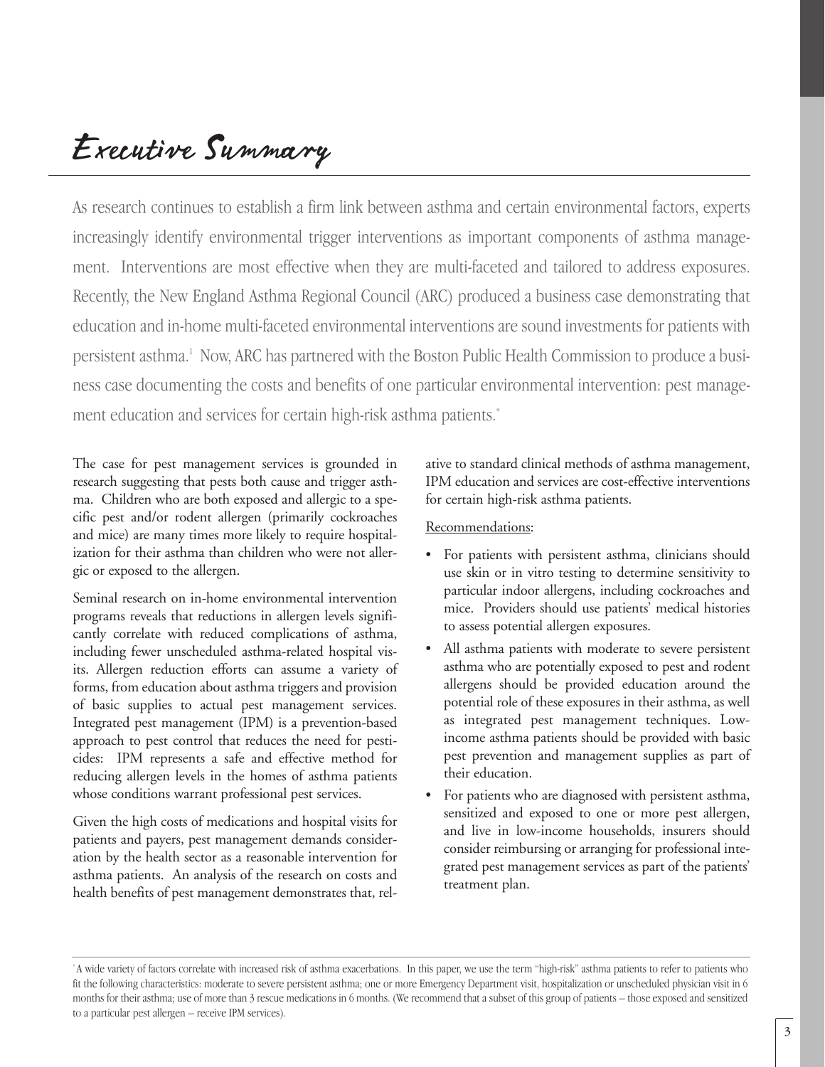# Executive Summary

As research continues to establish a firm link between asthma and certain environmental factors, experts increasingly identify environmental trigger interventions as important components of asthma management. Interventions are most effective when they are multi-faceted and tailored to address exposures. Recently, the New England Asthma Regional Council (ARC) produced a business case demonstrating that education and in-home multi-faceted environmental interventions are sound investments for patients with persistent asthma.1 Now, ARC has partnered with the Boston Public Health Commission to produce a business case documenting the costs and benefits of one particular environmental intervention: pest management education and services for certain high-risk asthma patients.<sup>\*</sup>

The case for pest management services is grounded in research suggesting that pests both cause and trigger asthma. Children who are both exposed and allergic to a specific pest and/or rodent allergen (primarily cockroaches and mice) are many times more likely to require hospitalization for their asthma than children who were not allergic or exposed to the allergen.

Seminal research on in-home environmental intervention programs reveals that reductions in allergen levels significantly correlate with reduced complications of asthma, including fewer unscheduled asthma-related hospital visits. Allergen reduction efforts can assume a variety of forms, from education about asthma triggers and provision of basic supplies to actual pest management services. Integrated pest management (IPM) is a prevention-based approach to pest control that reduces the need for pesticides: IPM represents a safe and effective method for reducing allergen levels in the homes of asthma patients whose conditions warrant professional pest services.

Given the high costs of medications and hospital visits for patients and payers, pest management demands consideration by the health sector as a reasonable intervention for asthma patients. An analysis of the research on costs and health benefits of pest management demonstrates that, relative to standard clinical methods of asthma management, IPM education and services are cost-effective interventions for certain high-risk asthma patients.

#### Recommendations:

- For patients with persistent asthma, clinicians should use skin or in vitro testing to determine sensitivity to particular indoor allergens, including cockroaches and mice. Providers should use patients' medical histories to assess potential allergen exposures.
- All asthma patients with moderate to severe persistent asthma who are potentially exposed to pest and rodent allergens should be provided education around the potential role of these exposures in their asthma, as well as integrated pest management techniques. Lowincome asthma patients should be provided with basic pest prevention and management supplies as part of their education.
- For patients who are diagnosed with persistent asthma, sensitized and exposed to one or more pest allergen, and live in low-income households, insurers should consider reimbursing or arranging for professional integrated pest management services as part of the patients' treatment plan.

<sup>\*</sup> A wide variety of factors correlate with increased risk of asthma exacerbations. In this paper, we use the term "high-risk" asthma patients to refer to patients who fit the following characteristics: moderate to severe persistent asthma; one or more Emergency Department visit, hospitalization or unscheduled physician visit in 6 months for their asthma; use of more than 3 rescue medications in 6 months. (We recommend that a subset of this group of patients – those exposed and sensitized to a particular pest allergen – receive IPM services).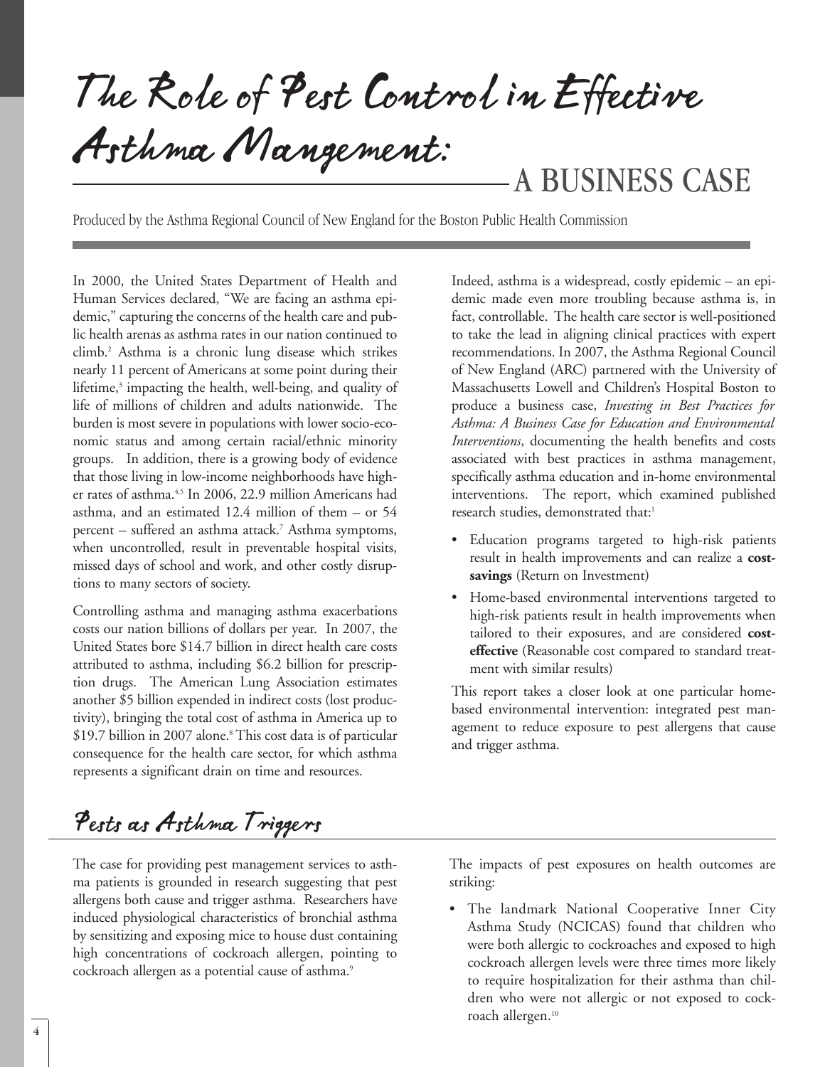The Role of Pest Control in Effective Asthma Mangement:<br>A BUSINESS CASE

Produced by the Asthma Regional Council of New England for the Boston Public Health Commission

In 2000, the United States Department of Health and Human Services declared, "We are facing an asthma epidemic," capturing the concerns of the health care and public health arenas as asthma rates in our nation continued to climb.2 Asthma is a chronic lung disease which strikes nearly 11 percent of Americans at some point during their lifetime,<sup>3</sup> impacting the health, well-being, and quality of life of millions of children and adults nationwide. The burden is most severe in populations with lower socio-economic status and among certain racial/ethnic minority groups. In addition, there is a growing body of evidence that those living in low-income neighborhoods have higher rates of asthma.<sup>4,5</sup> In 2006, 22.9 million Americans had asthma, and an estimated 12.4 million of them – or 54 percent – suffered an asthma attack.7 Asthma symptoms, when uncontrolled, result in preventable hospital visits, missed days of school and work, and other costly disruptions to many sectors of society.

Controlling asthma and managing asthma exacerbations costs our nation billions of dollars per year. In 2007, the United States bore \$14.7 billion in direct health care costs attributed to asthma, including \$6.2 billion for prescription drugs. The American Lung Association estimates another \$5 billion expended in indirect costs (lost productivity), bringing the total cost of asthma in America up to \$19.7 billion in 2007 alone.<sup>8</sup> This cost data is of particular consequence for the health care sector, for which asthma represents a significant drain on time and resources.

Indeed, asthma is a widespread, costly epidemic – an epidemic made even more troubling because asthma is, in fact, controllable. The health care sector is well-positioned to take the lead in aligning clinical practices with expert recommendations. In 2007, the Asthma Regional Council of New England (ARC) partnered with the University of Massachusetts Lowell and Children's Hospital Boston to produce a business case, *Investing in Best Practices for Asthma: A Business Case for Education and Environmental Interventions*, documenting the health benefits and costs associated with best practices in asthma management, specifically asthma education and in-home environmental interventions. The report, which examined published research studies, demonstrated that:<sup>1</sup>

- Education programs targeted to high-risk patients result in health improvements and can realize a **costsavings** (Return on Investment)
- Home-based environmental interventions targeted to high-risk patients result in health improvements when tailored to their exposures, and are considered **costeffective** (Reasonable cost compared to standard treatment with similar results)

This report takes a closer look at one particular homebased environmental intervention: integrated pest management to reduce exposure to pest allergens that cause and trigger asthma.

# Pests as Asthma Triggers

The case for providing pest management services to asthma patients is grounded in research suggesting that pest allergens both cause and trigger asthma. Researchers have induced physiological characteristics of bronchial asthma by sensitizing and exposing mice to house dust containing high concentrations of cockroach allergen, pointing to cockroach allergen as a potential cause of asthma.<sup>9</sup>

The impacts of pest exposures on health outcomes are striking:

• The landmark National Cooperative Inner City Asthma Study (NCICAS) found that children who were both allergic to cockroaches and exposed to high cockroach allergen levels were three times more likely to require hospitalization for their asthma than children who were not allergic or not exposed to cockroach allergen.<sup>10</sup>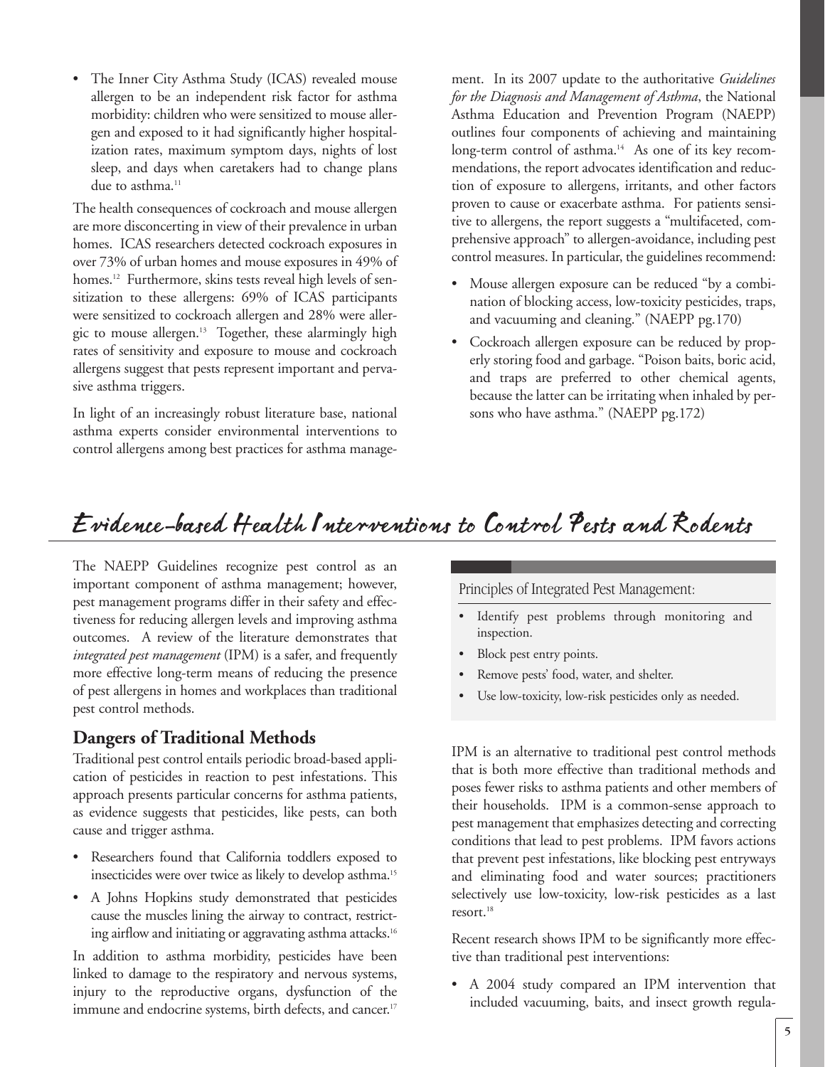• The Inner City Asthma Study (ICAS) revealed mouse allergen to be an independent risk factor for asthma morbidity: children who were sensitized to mouse allergen and exposed to it had significantly higher hospitalization rates, maximum symptom days, nights of lost sleep, and days when caretakers had to change plans due to asthma.<sup>11</sup>

The health consequences of cockroach and mouse allergen are more disconcerting in view of their prevalence in urban homes. ICAS researchers detected cockroach exposures in over 73% of urban homes and mouse exposures in 49% of homes.<sup>12</sup> Furthermore, skins tests reveal high levels of sensitization to these allergens: 69% of ICAS participants were sensitized to cockroach allergen and 28% were allergic to mouse allergen.<sup>13</sup> Together, these alarmingly high rates of sensitivity and exposure to mouse and cockroach allergens suggest that pests represent important and pervasive asthma triggers.

In light of an increasingly robust literature base, national asthma experts consider environmental interventions to control allergens among best practices for asthma manage-

ment. In its 2007 update to the authoritative *Guidelines for the Diagnosis and Management of Asthma*, the National Asthma Education and Prevention Program (NAEPP) outlines four components of achieving and maintaining long-term control of asthma.<sup>14</sup> As one of its key recommendations, the report advocates identification and reduction of exposure to allergens, irritants, and other factors proven to cause or exacerbate asthma. For patients sensitive to allergens, the report suggests a "multifaceted, comprehensive approach" to allergen-avoidance, including pest control measures. In particular, the guidelines recommend:

- Mouse allergen exposure can be reduced "by a combination of blocking access, low-toxicity pesticides, traps, and vacuuming and cleaning." (NAEPP pg.170)
- Cockroach allergen exposure can be reduced by properly storing food and garbage. "Poison baits, boric acid, and traps are preferred to other chemical agents, because the latter can be irritating when inhaled by persons who have asthma." (NAEPP pg.172)

# Evidence-based Health Interventions to Control Pests and Rodents

The NAEPP Guidelines recognize pest control as an important component of asthma management; however, pest management programs differ in their safety and effectiveness for reducing allergen levels and improving asthma outcomes. A review of the literature demonstrates that *integrated pest management* (IPM) is a safer, and frequently more effective long-term means of reducing the presence of pest allergens in homes and workplaces than traditional pest control methods.

# **Dangers of Traditional Methods**

Traditional pest control entails periodic broad-based application of pesticides in reaction to pest infestations. This approach presents particular concerns for asthma patients, as evidence suggests that pesticides, like pests, can both cause and trigger asthma.

- Researchers found that California toddlers exposed to insecticides were over twice as likely to develop asthma.15
- A Johns Hopkins study demonstrated that pesticides cause the muscles lining the airway to contract, restricting airflow and initiating or aggravating asthma attacks.<sup>16</sup>

In addition to asthma morbidity, pesticides have been linked to damage to the respiratory and nervous systems, injury to the reproductive organs, dysfunction of the immune and endocrine systems, birth defects, and cancer. 17

Principles of Integrated Pest Management:

- Identify pest problems through monitoring and inspection.
- Block pest entry points.
- Remove pests' food, water, and shelter.
- Use low-toxicity, low-risk pesticides only as needed.

IPM is an alternative to traditional pest control methods that is both more effective than traditional methods and poses fewer risks to asthma patients and other members of their households. IPM is a common-sense approach to pest management that emphasizes detecting and correcting conditions that lead to pest problems. IPM favors actions that prevent pest infestations, like blocking pest entryways and eliminating food and water sources; practitioners selectively use low-toxicity, low-risk pesticides as a last resort.<sup>18</sup>

Recent research shows IPM to be significantly more effective than traditional pest interventions:

• A 2004 study compared an IPM intervention that included vacuuming, baits, and insect growth regula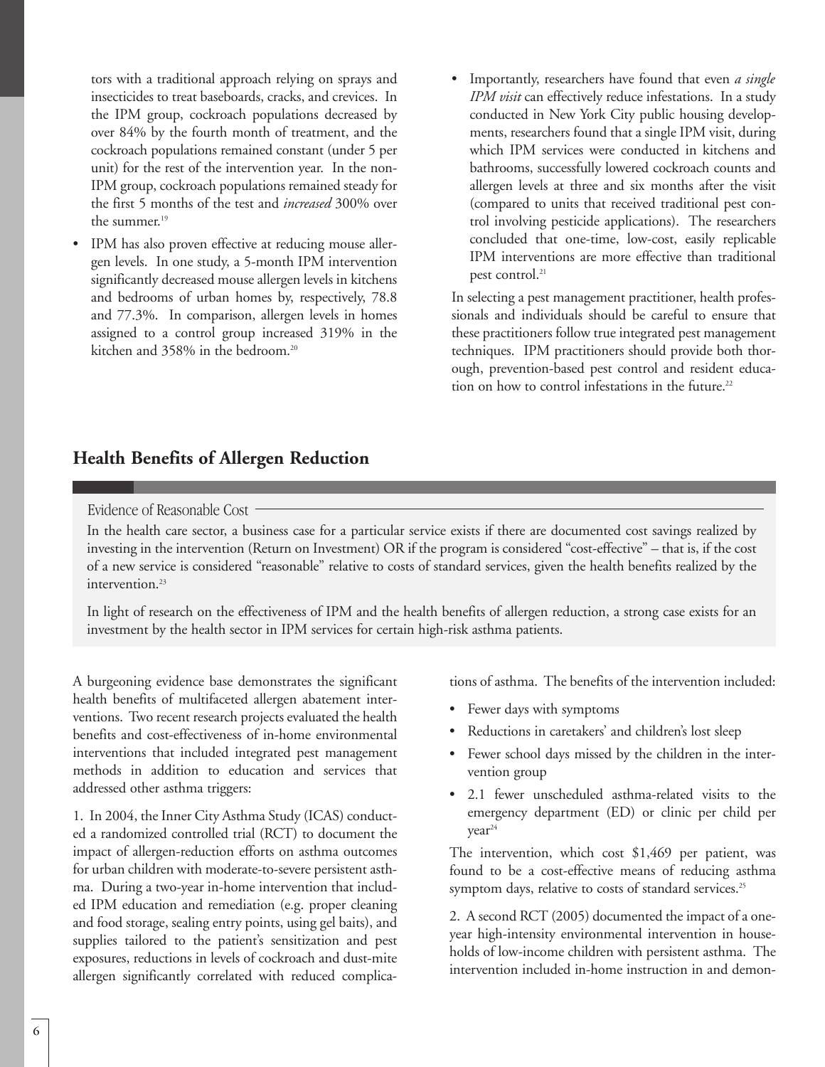tors with a traditional approach relying on sprays and insecticides to treat baseboards, cracks, and crevices. In the IPM group, cockroach populations decreased by over 84% by the fourth month of treatment, and the cockroach populations remained constant (under 5 per unit) for the rest of the intervention year. In the non-IPM group, cockroach populations remained steady for the first 5 months of the test and *increased* 300% over the summer.<sup>19</sup>

- IPM has also proven effective at reducing mouse allergen levels. In one study, a 5-month IPM intervention significantly decreased mouse allergen levels in kitchens and bedrooms of urban homes by, respectively, 78.8 and 77.3%. In comparison, allergen levels in homes assigned to a control group increased 319% in the kitchen and 358% in the bedroom.<sup>20</sup>
- Importantly, researchers have found that even *a single IPM visit* can effectively reduce infestations. In a study conducted in New York City public housing developments, researchers found that a single IPM visit, during which IPM services were conducted in kitchens and bathrooms, successfully lowered cockroach counts and allergen levels at three and six months after the visit (compared to units that received traditional pest control involving pesticide applications). The researchers concluded that one-time, low-cost, easily replicable IPM interventions are more effective than traditional pest control.<sup>21</sup>

In selecting a pest management practitioner, health professionals and individuals should be careful to ensure that these practitioners follow true integrated pest management techniques. IPM practitioners should provide both thorough, prevention-based pest control and resident education on how to control infestations in the future.<sup>22</sup>

# **Health Benefits of Allergen Reduction**

#### Evidence of Reasonable Cost

In the health care sector, a business case for a particular service exists if there are documented cost savings realized by investing in the intervention (Return on Investment) OR if the program is considered "cost-effective" – that is, if the cost of a new service is considered "reasonable" relative to costs of standard services, given the health benefits realized by the intervention.<sup>23</sup>

In light of research on the effectiveness of IPM and the health benefits of allergen reduction, a strong case exists for an investment by the health sector in IPM services for certain high-risk asthma patients.

A burgeoning evidence base demonstrates the significant health benefits of multifaceted allergen abatement interventions. Two recent research projects evaluated the health benefits and cost-effectiveness of in-home environmental interventions that included integrated pest management methods in addition to education and services that addressed other asthma triggers:

1. In 2004, the Inner City Asthma Study (ICAS) conducted a randomized controlled trial (RCT) to document the impact of allergen-reduction efforts on asthma outcomes for urban children with moderate-to-severe persistent asthma. During a two-year in-home intervention that included IPM education and remediation (e.g. proper cleaning and food storage, sealing entry points, using gel baits), and supplies tailored to the patient's sensitization and pest exposures, reductions in levels of cockroach and dust-mite allergen significantly correlated with reduced complications of asthma. The benefits of the intervention included:

- Fewer days with symptoms
- Reductions in caretakers' and children's lost sleep
- Fewer school days missed by the children in the intervention group
- 2.1 fewer unscheduled asthma-related visits to the emergency department (ED) or clinic per child per year<sup>24</sup>

The intervention, which cost \$1,469 per patient, was found to be a cost-effective means of reducing asthma symptom days, relative to costs of standard services.<sup>25</sup>

2. A second RCT (2005) documented the impact of a oneyear high-intensity environmental intervention in households of low-income children with persistent asthma. The intervention included in-home instruction in and demon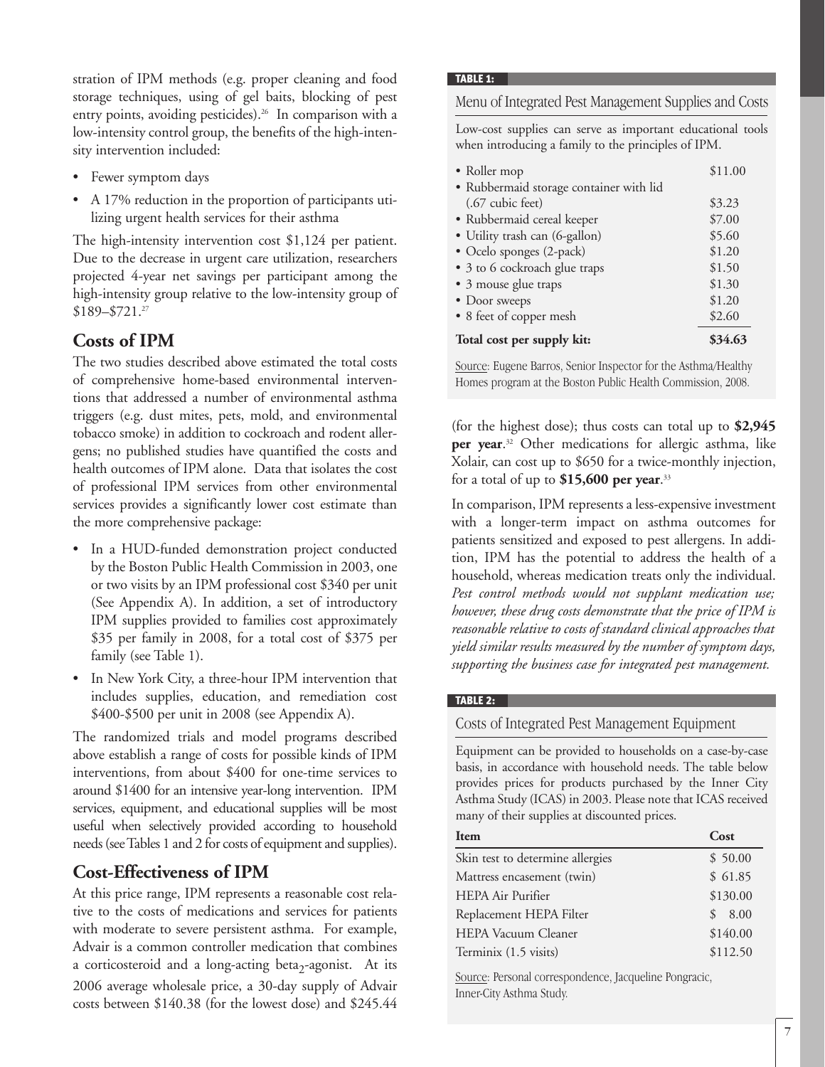stration of IPM methods (e.g. proper cleaning and food storage techniques, using of gel baits, blocking of pest entry points, avoiding pesticides).<sup>26</sup> In comparison with a low-intensity control group, the benefits of the high-intensity intervention included:

- Fewer symptom days
- A 17% reduction in the proportion of participants utilizing urgent health services for their asthma

The high-intensity intervention cost \$1,124 per patient. Due to the decrease in urgent care utilization, researchers projected 4-year net savings per participant among the high-intensity group relative to the low-intensity group of \$189–\$721.27

# **Costs of IPM**

The two studies described above estimated the total costs of comprehensive home-based environmental interventions that addressed a number of environmental asthma triggers (e.g. dust mites, pets, mold, and environmental tobacco smoke) in addition to cockroach and rodent allergens; no published studies have quantified the costs and health outcomes of IPM alone. Data that isolates the cost of professional IPM services from other environmental services provides a significantly lower cost estimate than the more comprehensive package:

- In a HUD-funded demonstration project conducted by the Boston Public Health Commission in 2003, one or two visits by an IPM professional cost \$340 per unit (See Appendix A). In addition, a set of introductory IPM supplies provided to families cost approximately \$35 per family in 2008, for a total cost of \$375 per family (see Table 1).
- In New York City, a three-hour IPM intervention that includes supplies, education, and remediation cost \$400-\$500 per unit in 2008 (see Appendix A).

The randomized trials and model programs described above establish a range of costs for possible kinds of IPM interventions, from about \$400 for one-time services to around \$1400 for an intensive year-long intervention. IPM services, equipment, and educational supplies will be most useful when selectively provided according to household needs (see Tables 1 and 2 for costs of equipment and supplies).

### **Cost-Effectiveness of IPM**

At this price range, IPM represents a reasonable cost relative to the costs of medications and services for patients with moderate to severe persistent asthma. For example, Advair is a common controller medication that combines a corticosteroid and a long-acting beta<sub>2</sub>-agonist. At its 2006 average wholesale price, a 30-day supply of Advair costs between \$140.38 (for the lowest dose) and \$245.44

#### **TABLE 1:**

#### Menu of Integrated Pest Management Supplies and Costs

Low-cost supplies can serve as important educational tools when introducing a family to the principles of IPM.

| • Roller mop                            | \$11.00 |  |
|-----------------------------------------|---------|--|
| • Rubbermaid storage container with lid |         |  |
| $(.67$ cubic feet)                      | \$3.23  |  |
| • Rubbermaid cereal keeper              | \$7.00  |  |
| · Utility trash can (6-gallon)          | \$5.60  |  |
| • Ocelo sponges (2-pack)                | \$1.20  |  |
| • 3 to 6 cockroach glue traps           | \$1.50  |  |
| • 3 mouse glue traps                    | \$1.30  |  |
| • Door sweeps                           | \$1.20  |  |
| • 8 feet of copper mesh                 | \$2.60  |  |
| Total cost per supply kit:              |         |  |

Source: Eugene Barros, Senior Inspector for the Asthma/Healthy Homes program at the Boston Public Health Commission, 2008.

(for the highest dose); thus costs can total up to **\$2,945 per year**. <sup>32</sup> Other medications for allergic asthma, like Xolair, can cost up to \$650 for a twice-monthly injection, for a total of up to **\$15,600 per year**. 33

In comparison, IPM represents a less-expensive investment with a longer-term impact on asthma outcomes for patients sensitized and exposed to pest allergens. In addition, IPM has the potential to address the health of a household, whereas medication treats only the individual. *Pest control methods would not supplant medication use; however, these drug costs demonstrate that the price of IPM is reasonable relative to costs of standard clinical approaches that yield similar results measured by the number of symptom days, supporting the business case for integrated pest management.*

#### **TABLE 2:**

### Costs of Integrated Pest Management Equipment

Equipment can be provided to households on a case-by-case basis, in accordance with household needs. The table below provides prices for products purchased by the Inner City Asthma Study (ICAS) in 2003. Please note that ICAS received many of their supplies at discounted prices.

| Item                             | Cost                  |
|----------------------------------|-----------------------|
| Skin test to determine allergies | \$50.00               |
| Mattress encasement (twin)       | \$61.85               |
| <b>HEPA Air Purifier</b>         | \$130.00              |
| Replacement HEPA Filter          | 8.00<br>$\mathcal{S}$ |
| <b>HEPA Vacuum Cleaner</b>       | \$140.00              |
| Terminix (1.5 visits)            | \$112.50              |
|                                  |                       |

Source: Personal correspondence, Jacqueline Pongracic, Inner-City Asthma Study.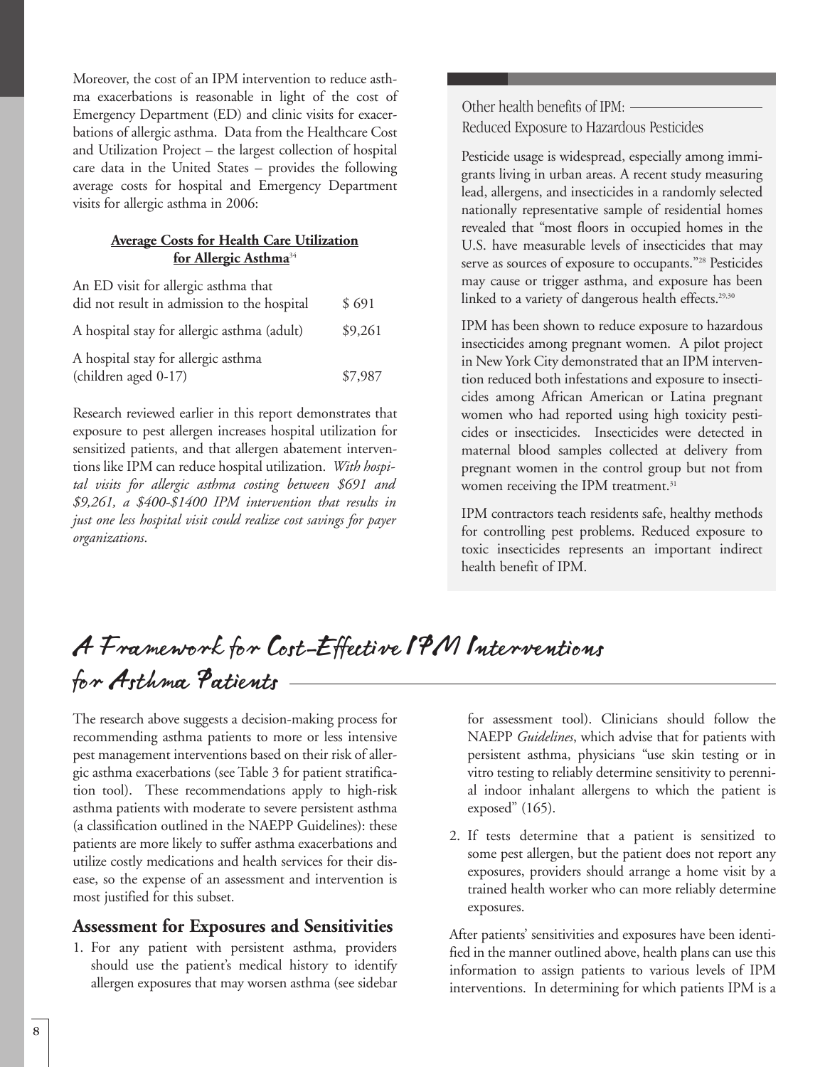Moreover, the cost of an IPM intervention to reduce asthma exacerbations is reasonable in light of the cost of Emergency Department (ED) and clinic visits for exacerbations of allergic asthma. Data from the Healthcare Cost and Utilization Project – the largest collection of hospital care data in the United States – provides the following average costs for hospital and Emergency Department visits for allergic asthma in 2006:

### **Average Costs for Health Care Utilization for Allergic Asthma**<sup>34</sup>

| An ED visit for allergic asthma that<br>did not result in admission to the hospital | \$691   |
|-------------------------------------------------------------------------------------|---------|
| A hospital stay for allergic asthma (adult)                                         | \$9,261 |
| A hospital stay for allergic asthma<br>(children aged 0-17)                         | \$7,987 |

Research reviewed earlier in this report demonstrates that exposure to pest allergen increases hospital utilization for sensitized patients, and that allergen abatement interventions like IPM can reduce hospital utilization. *With hospital visits for allergic asthma costing between \$691 and \$9,261, a \$400-\$1400 IPM intervention that results in just one less hospital visit could realize cost savings for payer organizations*.

Other health benefits of IPM: Reduced Exposure to Hazardous Pesticides

Pesticide usage is widespread, especially among immigrants living in urban areas. A recent study measuring lead, allergens, and insecticides in a randomly selected nationally representative sample of residential homes revealed that "most floors in occupied homes in the U.S. have measurable levels of insecticides that may serve as sources of exposure to occupants."<sup>28</sup> Pesticides may cause or trigger asthma, and exposure has been linked to a variety of dangerous health effects.<sup>29,30</sup>

IPM has been shown to reduce exposure to hazardous insecticides among pregnant women. A pilot project in New York City demonstrated that an IPM intervention reduced both infestations and exposure to insecticides among African American or Latina pregnant women who had reported using high toxicity pesticides or insecticides. Insecticides were detected in maternal blood samples collected at delivery from pregnant women in the control group but not from women receiving the IPM treatment.<sup>31</sup>

IPM contractors teach residents safe, healthy methods for controlling pest problems. Reduced exposure to toxic insecticides represents an important indirect health benefit of IPM.

# A Framework for Cost-Effective IPM Interventions for Asthma Patients

The research above suggests a decision-making process for recommending asthma patients to more or less intensive pest management interventions based on their risk of allergic asthma exacerbations (see Table 3 for patient stratification tool). These recommendations apply to high-risk asthma patients with moderate to severe persistent asthma (a classification outlined in the NAEPP Guidelines): these patients are more likely to suffer asthma exacerbations and utilize costly medications and health services for their disease, so the expense of an assessment and intervention is most justified for this subset.

# **Assessment for Exposures and Sensitivities**

1. For any patient with persistent asthma, providers should use the patient's medical history to identify allergen exposures that may worsen asthma (see sidebar for assessment tool). Clinicians should follow the NAEPP *Guidelines*, which advise that for patients with persistent asthma, physicians "use skin testing or in vitro testing to reliably determine sensitivity to perennial indoor inhalant allergens to which the patient is exposed" (165).

2. If tests determine that a patient is sensitized to some pest allergen, but the patient does not report any exposures, providers should arrange a home visit by a trained health worker who can more reliably determine exposures.

After patients' sensitivities and exposures have been identified in the manner outlined above, health plans can use this information to assign patients to various levels of IPM interventions. In determining for which patients IPM is a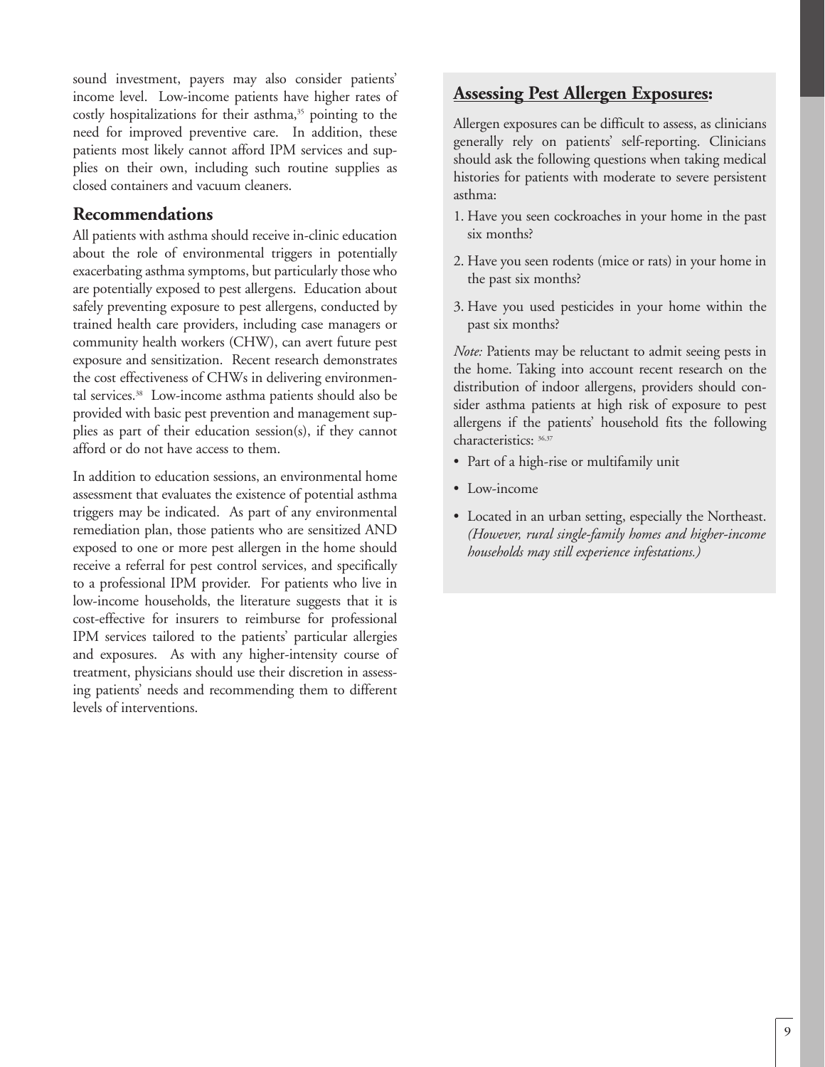sound investment, payers may also consider patients' income level. Low-income patients have higher rates of costly hospitalizations for their asthma,<sup>35</sup> pointing to the need for improved preventive care. In addition, these patients most likely cannot afford IPM services and supplies on their own, including such routine supplies as closed containers and vacuum cleaners.

### **Recommendations**

All patients with asthma should receive in-clinic education about the role of environmental triggers in potentially exacerbating asthma symptoms, but particularly those who are potentially exposed to pest allergens. Education about safely preventing exposure to pest allergens, conducted by trained health care providers, including case managers or community health workers (CHW), can avert future pest exposure and sensitization. Recent research demonstrates the cost effectiveness of CHWs in delivering environmental services.38 Low-income asthma patients should also be provided with basic pest prevention and management supplies as part of their education session(s), if they cannot afford or do not have access to them.

In addition to education sessions, an environmental home assessment that evaluates the existence of potential asthma triggers may be indicated. As part of any environmental remediation plan, those patients who are sensitized AND exposed to one or more pest allergen in the home should receive a referral for pest control services, and specifically to a professional IPM provider. For patients who live in low-income households, the literature suggests that it is cost-effective for insurers to reimburse for professional IPM services tailored to the patients' particular allergies and exposures. As with any higher-intensity course of treatment, physicians should use their discretion in assessing patients' needs and recommending them to different levels of interventions.

# **Assessing Pest Allergen Exposures:**

Allergen exposures can be difficult to assess, as clinicians generally rely on patients' self-reporting. Clinicians should ask the following questions when taking medical histories for patients with moderate to severe persistent asthma:

- 1. Have you seen cockroaches in your home in the past six months?
- 2. Have you seen rodents (mice or rats) in your home in the past six months?
- 3. Have you used pesticides in your home within the past six months?

*Note:* Patients may be reluctant to admit seeing pests in the home. Taking into account recent research on the distribution of indoor allergens, providers should consider asthma patients at high risk of exposure to pest allergens if the patients' household fits the following characteristics: 36,37

- Part of a high-rise or multifamily unit
- Low-income
- Located in an urban setting, especially the Northeast. *(However, rural single-family homes and higher-income households may still experience infestations.)*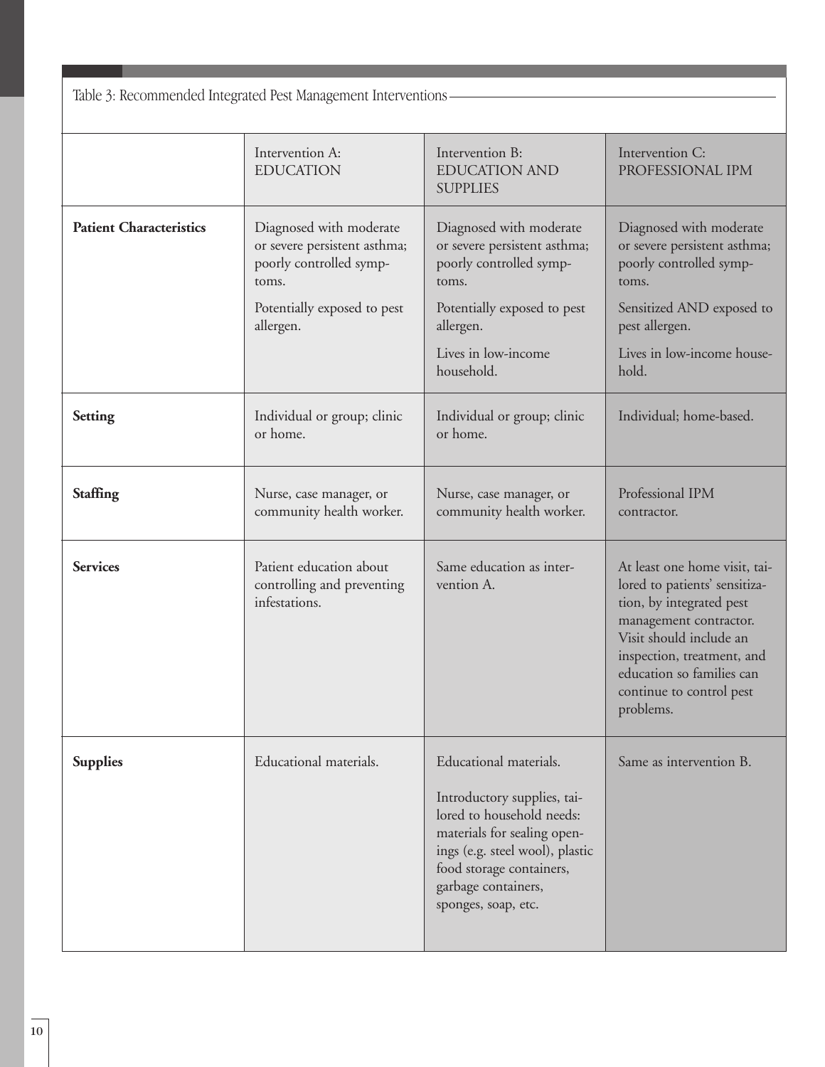Table 3: Recommended Integrated Pest Management Interventions

|                                | Intervention A:<br><b>EDUCATION</b>                                                                                                     | Intervention B:<br><b>EDUCATION AND</b><br><b>SUPPLIES</b>                                                                                                                                                                     | Intervention C:<br>PROFESSIONAL IPM                                                                                                                                                                                                                 |  |
|--------------------------------|-----------------------------------------------------------------------------------------------------------------------------------------|--------------------------------------------------------------------------------------------------------------------------------------------------------------------------------------------------------------------------------|-----------------------------------------------------------------------------------------------------------------------------------------------------------------------------------------------------------------------------------------------------|--|
| <b>Patient Characteristics</b> | Diagnosed with moderate<br>or severe persistent asthma;<br>poorly controlled symp-<br>toms.<br>Potentially exposed to pest<br>allergen. | Diagnosed with moderate<br>or severe persistent asthma;<br>poorly controlled symp-<br>toms.<br>Potentially exposed to pest<br>allergen.<br>Lives in low-income<br>household.                                                   | Diagnosed with moderate<br>or severe persistent asthma;<br>poorly controlled symp-<br>toms.<br>Sensitized AND exposed to<br>pest allergen.<br>Lives in low-income house-<br>hold.                                                                   |  |
| <b>Setting</b>                 | Individual or group; clinic<br>or home.                                                                                                 | Individual or group; clinic<br>or home.                                                                                                                                                                                        | Individual; home-based.                                                                                                                                                                                                                             |  |
| <b>Staffing</b>                | Nurse, case manager, or<br>community health worker.                                                                                     | Nurse, case manager, or<br>community health worker.                                                                                                                                                                            | Professional IPM<br>contractor.                                                                                                                                                                                                                     |  |
| <b>Services</b>                | Patient education about<br>controlling and preventing<br>infestations.                                                                  | Same education as inter-<br>vention A.                                                                                                                                                                                         | At least one home visit, tai-<br>lored to patients' sensitiza-<br>tion, by integrated pest<br>management contractor.<br>Visit should include an<br>inspection, treatment, and<br>education so families can<br>continue to control pest<br>problems. |  |
| <b>Supplies</b>                | Educational materials.                                                                                                                  | Educational materials.<br>Introductory supplies, tai-<br>lored to household needs:<br>materials for sealing open-<br>ings (e.g. steel wool), plastic<br>food storage containers,<br>garbage containers,<br>sponges, soap, etc. | Same as intervention B.                                                                                                                                                                                                                             |  |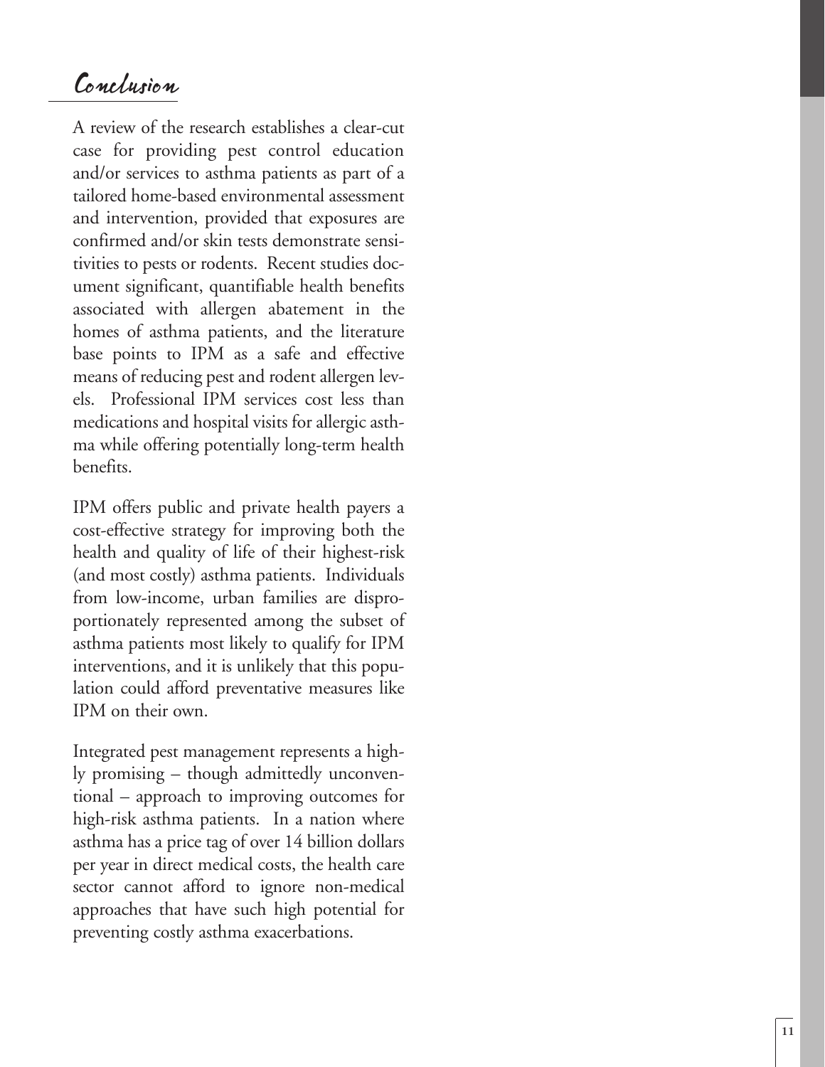# Conclusion

A review of the research establishes a clear-cut case for providing pest control education and/or services to asthma patients as part of a tailored home-based environmental assessment and intervention, provided that exposures are confirmed and/or skin tests demonstrate sensitivities to pests or rodents. Recent studies document significant, quantifiable health benefits associated with allergen abatement in the homes of asthma patients, and the literature base points to IPM as a safe and effective means of reducing pest and rodent allergen levels. Professional IPM services cost less than medications and hospital visits for allergic asthma while offering potentially long-term health benefits.

IPM offers public and private health payers a cost-effective strategy for improving both the health and quality of life of their highest-risk (and most costly) asthma patients. Individuals from low-income, urban families are disproportionately represented among the subset of asthma patients most likely to qualify for IPM inter ventions, and it is unlikely that this popu lation could afford preventative measures like IPM on their own.

Integrated pest management represents a highly promising – though admittedly unconventional – approach to improving outcomes for high-risk asthma patients. In a nation wher e asthma has a price tag of over 14 billion dollars per year in direct medical costs, the health care sector cannot afford to ignore non-medical approaches that have such high potential for preventing costly asthma exacerbations.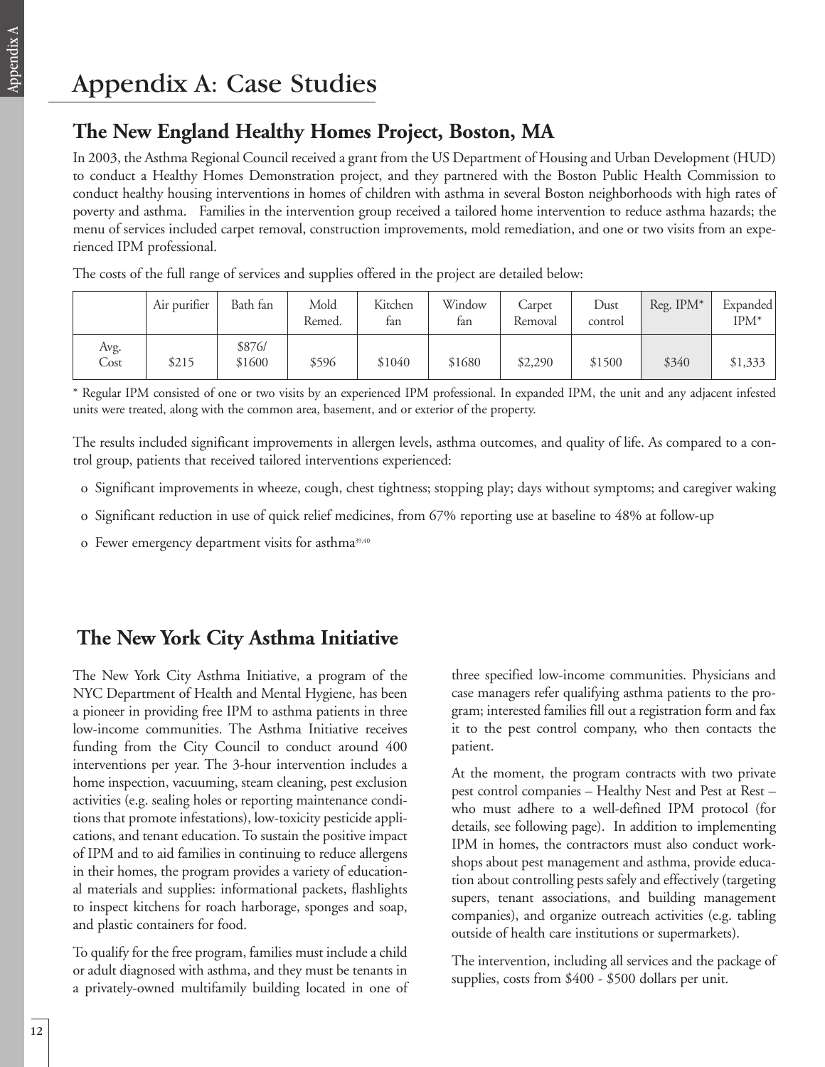# **The New England Healthy Homes Project, Boston, MA**

In 2003, the Asthma Regional Council received a grant from the US Department of Housing and Urban Development (HUD) to conduct a Healthy Homes Demonstration project, and they partnered with the Boston Public Health Commission to conduct healthy housing interventions in homes of children with asthma in several Boston neighborhoods with high rates of poverty and asthma. Families in the intervention group received a tailored home intervention to reduce asthma hazards; the menu of services included carpet removal, construction improvements, mold remediation, and one or two visits from an experienced IPM professional.

The costs of the full range of services and supplies offered in the project are detailed below:

|              | Air purifier | Bath fan         | Mold<br>Remed. | Kitchen<br>fan | Window<br>fan | Carpet<br>Removal | Dust<br>control | Reg. IPM* | Expanded<br>$IPM^*$ |
|--------------|--------------|------------------|----------------|----------------|---------------|-------------------|-----------------|-----------|---------------------|
| Avg.<br>Cost | \$215        | \$876/<br>\$1600 | \$596          | \$1040         | \$1680        | \$2,290           | \$1500          | \$340     | \$1,333             |

\* Regular IPM consisted of one or two visits by an experienced IPM professional. In expanded IPM, the unit and any adjacent infested units were treated, along with the common area, basement, and or exterior of the property.

The results included significant improvements in allergen levels, asthma outcomes, and quality of life. As compared to a control group, patients that received tailored interventions experienced:

o Significant improvements in wheeze, cough, chest tightness; stopping play; days without symptoms; and caregiver waking

- o Significant reduction in use of quick relief medicines, from 67% reporting use at baseline to 48% at follow-up
- o Fewer emergency department visits for asthma<sup>39,40</sup>

# **The New York City Asthma Initiative**

The New York City Asthma Initiative, a program of the NYC Department of Health and Mental Hygiene, has been a pioneer in providing free IPM to asthma patients in three low-income communities. The Asthma Initiative receives funding from the City Council to conduct around 400 interventions per year. The 3-hour intervention includes a home inspection, vacuuming, steam cleaning, pest exclusion activities (e.g. sealing holes or reporting maintenance conditions that promote infestations), low-toxicity pesticide applications, and tenant education. To sustain the positive impact of IPM and to aid families in continuing to reduce allergens in their homes, the program provides a variety of educational materials and supplies: informational packets, flashlights to inspect kitchens for roach harborage, sponges and soap, and plastic containers for food.

To qualify for the free program, families must include a child or adult diagnosed with asthma, and they must be tenants in a privately-owned multifamily building located in one of three specified low-income communities. Physicians and case managers refer qualifying asthma patients to the program; interested families fill out a registration form and fax it to the pest control company, who then contacts the patient.

At the moment, the program contracts with two private pest control companies – Healthy Nest and Pest at Rest – who must adhere to a well-defined IPM protocol (for details, see following page). In addition to implementing IPM in homes, the contractors must also conduct workshops about pest management and asthma, provide education about controlling pests safely and effectively (targeting supers, tenant associations, and building management companies), and organize outreach activities (e.g. tabling outside of health care institutions or supermarkets).

The intervention, including all services and the package of supplies, costs from \$400 - \$500 dollars per unit.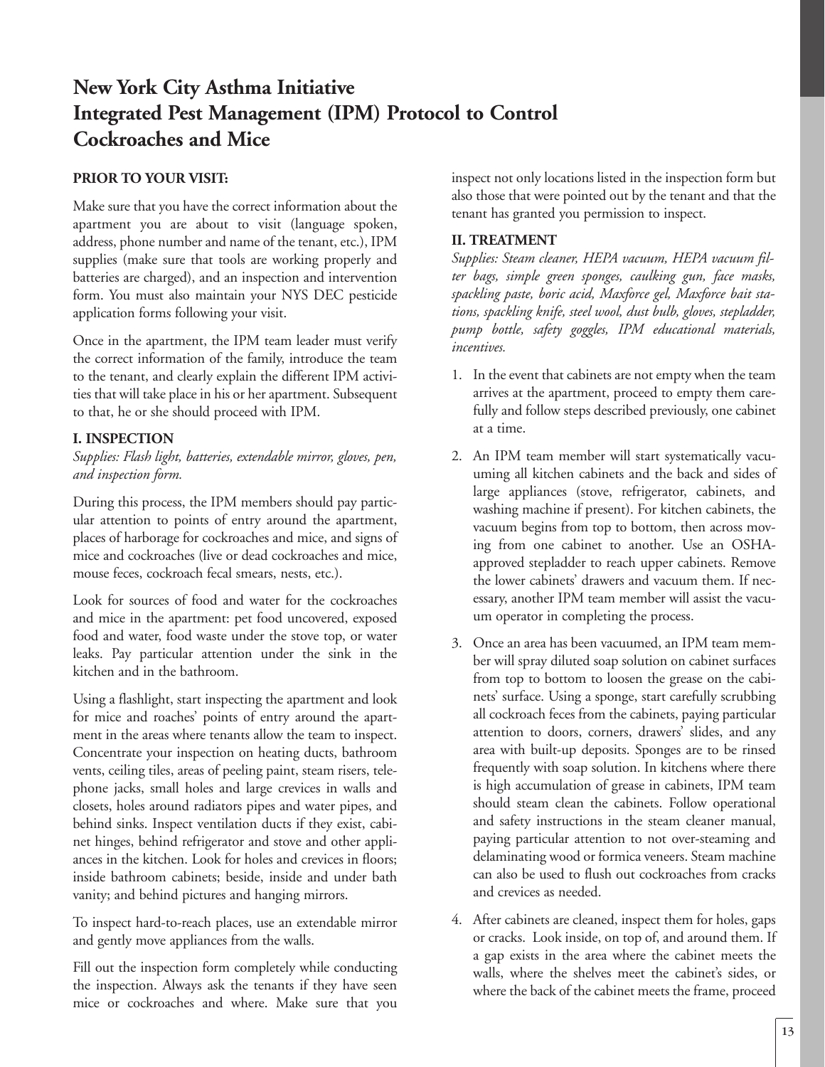# **New York City Asthma Initiative Integrated Pest Management (IPM) Protocol to Control Cockroaches and Mice**

### **PRIOR TO YOUR VISIT:**

Make sure that you have the correct information about the apartment you are about to visit (language spoken, address, phone number and name of the tenant, etc.), IPM supplies (make sure that tools are working properly and batteries are charged), and an inspection and intervention form. You must also maintain your NYS DEC pesticide application forms following your visit.

Once in the apartment, the IPM team leader must verify the correct information of the family, introduce the team to the tenant, and clearly explain the different IPM activities that will take place in his or her apartment. Subsequent to that, he or she should proceed with IPM.

### **I. INSPECTION**

*Supplies: Flash light, batteries, extendable mirror, gloves, pen, and inspection form.*

During this process, the IPM members should pay particular attention to points of entry around the apartment, places of harborage for cockroaches and mice, and signs of mice and cockroaches (live or dead cockroaches and mice, mouse feces, cockroach fecal smears, nests, etc.).

Look for sources of food and water for the cockroaches and mice in the apartment: pet food uncovered, exposed food and water, food waste under the stove top, or water leaks. Pay particular attention under the sink in the kitchen and in the bathroom.

Using a flashlight, start inspecting the apartment and look for mice and roaches' points of entry around the apartment in the areas where tenants allow the team to inspect. Concentrate your inspection on heating ducts, bathroom vents, ceiling tiles, areas of peeling paint, steam risers, telephone jacks, small holes and large crevices in walls and closets, holes around radiators pipes and water pipes, and behind sinks. Inspect ventilation ducts if they exist, cabinet hinges, behind refrigerator and stove and other appliances in the kitchen. Look for holes and crevices in floors; inside bathroom cabinets; beside, inside and under bath vanity; and behind pictures and hanging mirrors.

To inspect hard-to-reach places, use an extendable mirror and gently move appliances from the walls.

Fill out the inspection form completely while conducting the inspection. Always ask the tenants if they have seen mice or cockroaches and where. Make sure that you

inspect not only locations listed in the inspection form but also those that were pointed out by the tenant and that the tenant has granted you permission to inspect.

### **II. TREATMENT**

*Supplies: Steam cleaner, HEPA vacuum, HEPA vacuum filter bags, simple green sponges, caulking gun, face masks, spackling paste, boric acid, Maxforce gel, Maxforce bait stations, spackling knife, steel wool, dust bulb, gloves, stepladder, pump bottle, safety goggles, IPM educational materials, incentives.* 

- 1. In the event that cabinets are not empty when the team arrives at the apartment, proceed to empty them carefully and follow steps described previously, one cabinet at a time.
- 2. An IPM team member will start systematically vacuuming all kitchen cabinets and the back and sides of large appliances (stove, refrigerator, cabinets, and washing machine if present). For kitchen cabinets, the vacuum begins from top to bottom, then across moving from one cabinet to another. Use an OSHAapproved stepladder to reach upper cabinets. Remove the lower cabinets' drawers and vacuum them. If necessary, another IPM team member will assist the vacuum operator in completing the process.
- 3. Once an area has been vacuumed, an IPM team member will spray diluted soap solution on cabinet surfaces from top to bottom to loosen the grease on the cabinets' surface. Using a sponge, start carefully scrubbing all cockroach feces from the cabinets, paying particular attention to doors, corners, drawers' slides, and any area with built-up deposits. Sponges are to be rinsed frequently with soap solution. In kitchens where there is high accumulation of grease in cabinets, IPM team should steam clean the cabinets. Follow operational and safety instructions in the steam cleaner manual, paying particular attention to not over-steaming and delaminating wood or formica veneers. Steam machine can also be used to flush out cockroaches from cracks and crevices as needed.
- 4. After cabinets are cleaned, inspect them for holes, gaps or cracks. Look inside, on top of, and around them. If a gap exists in the area where the cabinet meets the walls, where the shelves meet the cabinet's sides, or where the back of the cabinet meets the frame, proceed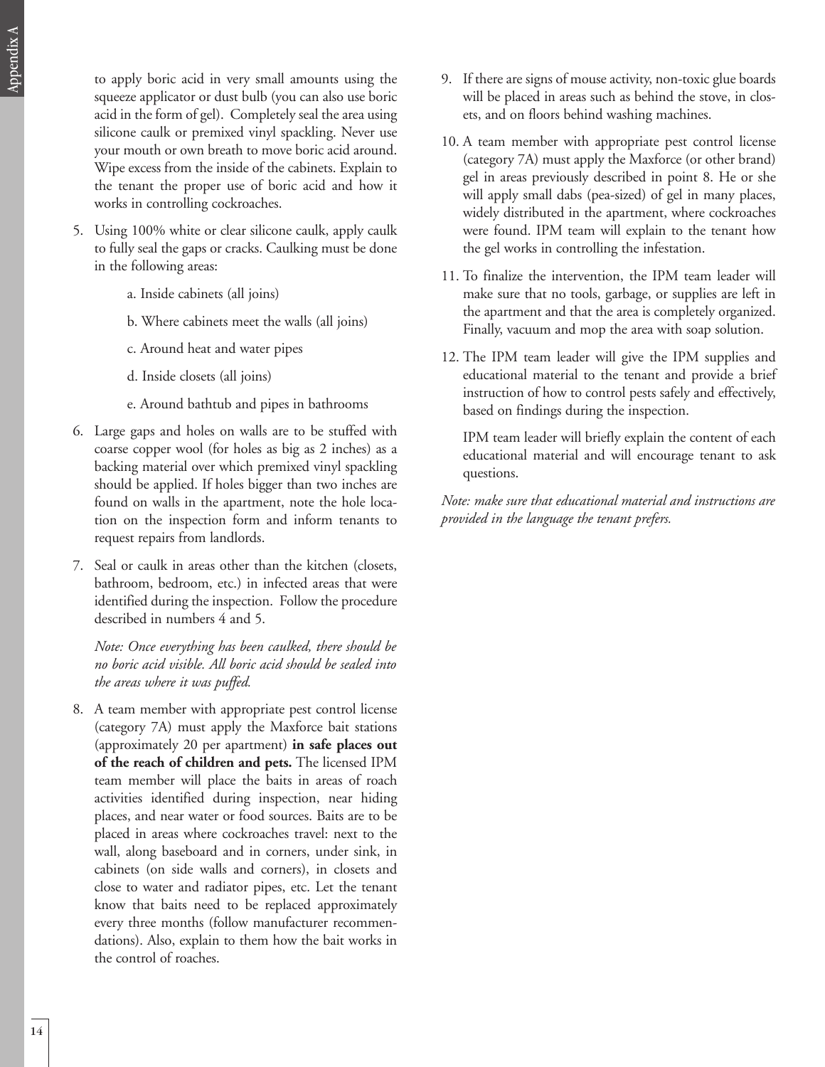$\prec$ 

to apply boric acid in very small amounts using the squeeze applicator or dust bulb (you can also use boric acid in the form of gel). Completely seal the area using silicone caulk or premixed vinyl spackling. Never use your mouth or own breath to move boric acid around. Wipe excess from the inside of the cabinets. Explain to the tenant the proper use of boric acid and how it works in controlling cockroaches.

- 5. Using 100% white or clear silicone caulk, apply caulk to fully seal the gaps or cracks. Caulking must be done in the following areas:
	- a. Inside cabinets (all joins)
	- b. Where cabinets meet the walls (all joins)
	- c. Around heat and water pipes
	- d. Inside closets (all joins)
	- e. Around bathtub and pipes in bathrooms
- 6. Large gaps and holes on walls are to be stuffed with coarse copper wool (for holes as big as 2 inches) as a backing material over which premixed vinyl spackling should be applied. If holes bigger than two inches are found on walls in the apartment, note the hole location on the inspection form and inform tenants to request repairs from landlords.
- 7. Seal or caulk in areas other than the kitchen (closets, bathroom, bedroom, etc.) in infected areas that were identified during the inspection. Follow the procedure described in numbers 4 and 5.

*Note: Once everything has been caulked, there should be no boric acid visible. All boric acid should be sealed into the areas where it was puffed.*

8. A team member with appropriate pest control license (category 7A) must apply the Maxforce bait stations (approximately 20 per apartment) **in safe places out of the reach of children and pets.** The licensed IPM team member will place the baits in areas of roach activities identified during inspection, near hiding places, and near water or food sources. Baits are to be placed in areas where cockroaches travel: next to the wall, along baseboard and in corners, under sink, in cabinets (on side walls and corners), in closets and close to water and radiator pipes, etc. Let the tenant know that baits need to be replaced approximately every three months (follow manufacturer recommendations). Also, explain to them how the bait works in the control of roaches.

- 9. If there are signs of mouse activity, non-toxic glue boards will be placed in areas such as behind the stove, in closets, and on floors behind washing machines.
- 10. A team member with appropriate pest control license (category 7A) must apply the Maxforce (or other brand) gel in areas previously described in point 8. He or she will apply small dabs (pea-sized) of gel in many places, widely distributed in the apartment, where cockroaches were found. IPM team will explain to the tenant how the gel works in controlling the infestation.
- 11. To finalize the intervention, the IPM team leader will make sure that no tools, garbage, or supplies are left in the apartment and that the area is completely organized. Finally, vacuum and mop the area with soap solution.
- 12. The IPM team leader will give the IPM supplies and educational material to the tenant and provide a brief instruction of how to control pests safely and effectively, based on findings during the inspection.

IPM team leader will briefly explain the content of each educational material and will encourage tenant to ask questions.

*Note: make sure that educational material and instructions are provided in the language the tenant prefers.*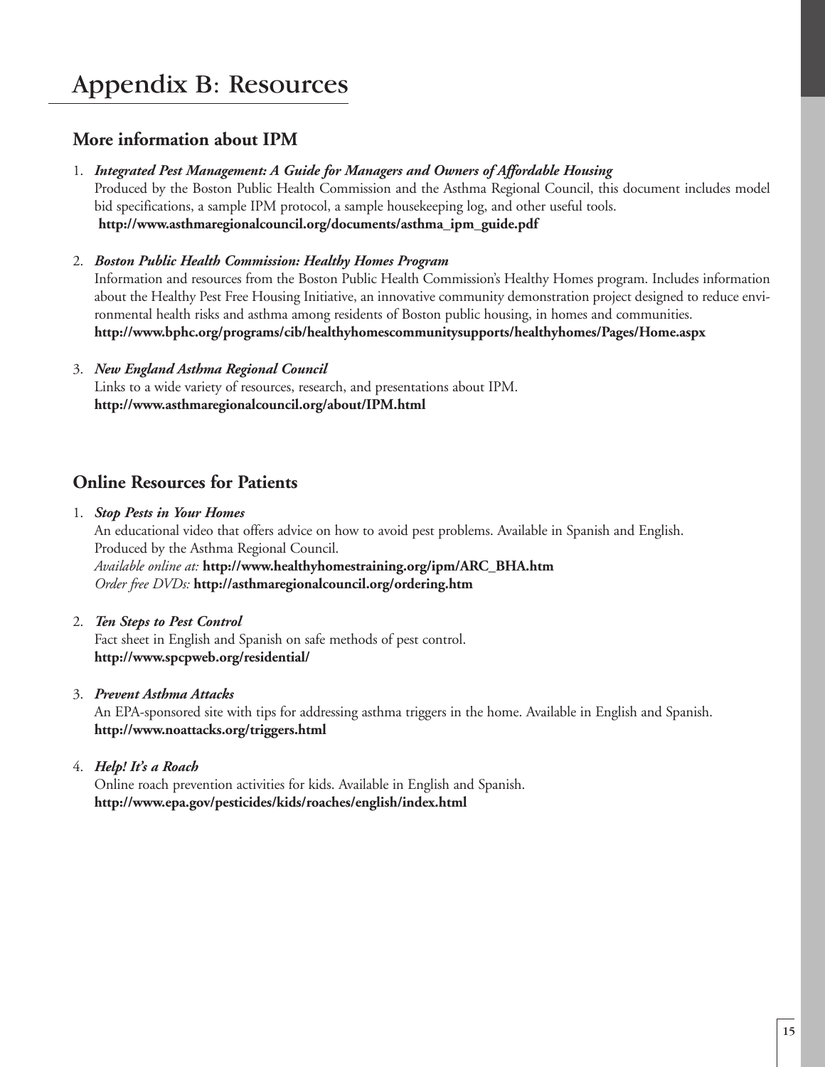# Appendix B: Resources

# **More information about IPM**

### 1. *Integrated Pest Management: A Guide for Managers and Owners of Affordable Housing*

Produced by the Boston Public Health Commission and the Asthma Regional Council, this document includes model bid specifications, a sample IPM protocol, a sample housekeeping log, and other useful tools. **http://www.asthmaregionalcouncil.org/documents/asthma\_ipm\_guide.pdf** 

### 2. *Boston Public Health Commission: Healthy Homes Program*

Information and resources from the Boston Public Health Commission's Healthy Homes program. Includes information about the Healthy Pest Free Housing Initiative, an innovative community demonstration project designed to reduce environmental health risks and asthma among residents of Boston public housing, in homes and communities. **http://www.bphc.org/programs/cib/healthyhomescommunitysupports/healthyhomes/Pages/Home.aspx**

## 3. *New England Asthma Regional Council* Links to a wide variety of resources, research, and presentations about IPM.

**http://www.asthmaregionalcouncil.org/about/IPM.html**

# **Online Resources for Patients**

- 1. *Stop Pests in Your Homes* An educational video that offers advice on how to avoid pest problems. Available in Spanish and English. Produced by the Asthma Regional Council. *Available online at:* **http://www.healthyhomestraining.org/ipm/ARC\_BHA.htm** *Order free DVDs:* **http://asthmaregionalcouncil.org/ordering.htm**
- 2. *Ten Steps to Pest Control* Fact sheet in English and Spanish on safe methods of pest control. **http://www.spcpweb.org/residential/**

### 3. *Prevent Asthma Attacks*

An EPA-sponsored site with tips for addressing asthma triggers in the home. Available in English and Spanish. **http://www.noattacks.org/triggers.html**

4. *Help! It's a Roach*

Online roach prevention activities for kids. Available in English and Spanish. **http://www.epa.gov/pesticides/kids/roaches/english/index.html**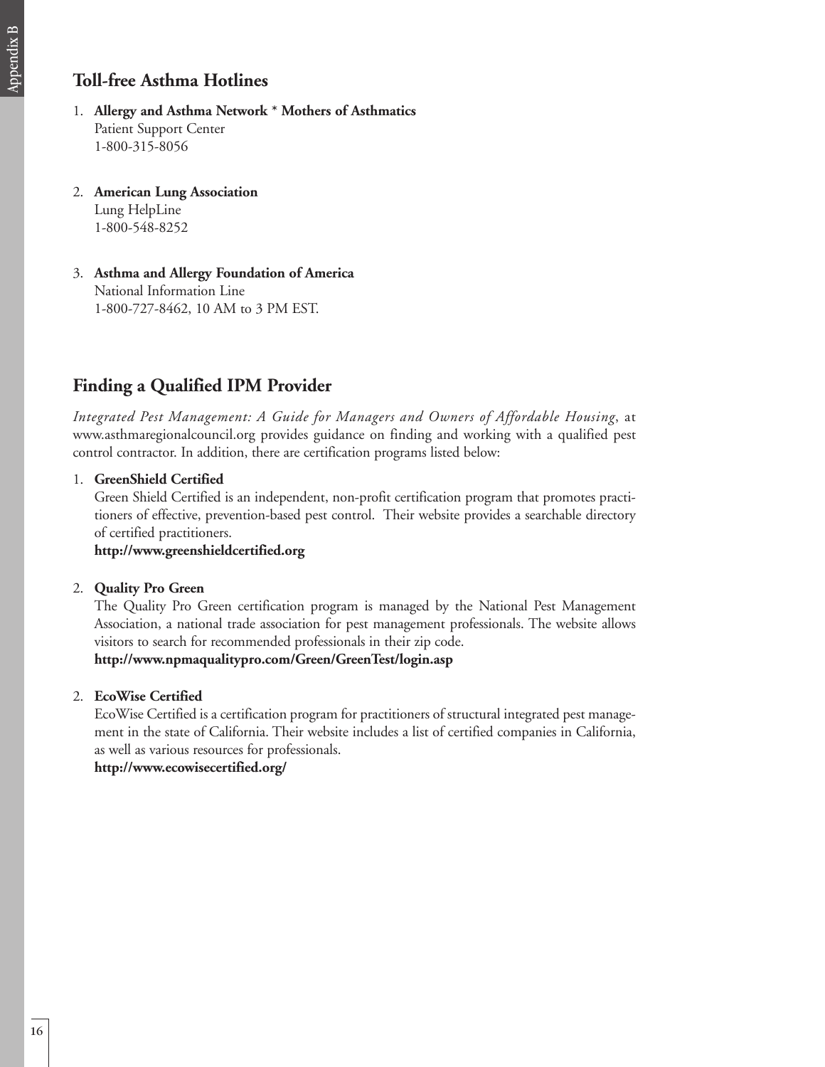# **Toll-free Asthma Hotlines**

- 1. **Allergy and Asthma Network \* Mothers of Asthmatics**  Patient Support Center 1-800-315-8056
- 2. **American Lung Association** Lung HelpLine 1-800-548-8252
- 3. **Asthma and Allergy Foundation of America** National Information Line 1-800-727-8462, 10 AM to 3 PM EST.

# **Finding a Qualified IPM Provider**

*Integrated Pest Management: A Guide for Managers and Owners of Affordable Housing*, at www.asthmaregionalcouncil.org provides guidance on finding and working with a qualified pest control contractor. In addition, there are certification programs listed below:

### 1. **GreenShield Certified**

Green Shield Certified is an independent, non-profit certification program that promotes practitioners of effective, prevention-based pest control. Their website provides a searchable directory of certified practitioners.

### **http://www.greenshieldcertified.org**

### 2. **Quality Pro Green**

The Quality Pro Green certification program is managed by the National Pest Management Association, a national trade association for pest management professionals. The website allows visitors to search for recommended professionals in their zip code. **http://www.npmaqualitypro.com/Green/GreenTest/login.asp**

2. **EcoWise Certified**

EcoWise Certified is a certification program for practitioners of structural integrated pest management in the state of California. Their website includes a list of certified companies in California, as well as various resources for professionals.

**http://www.ecowisecertified.org/**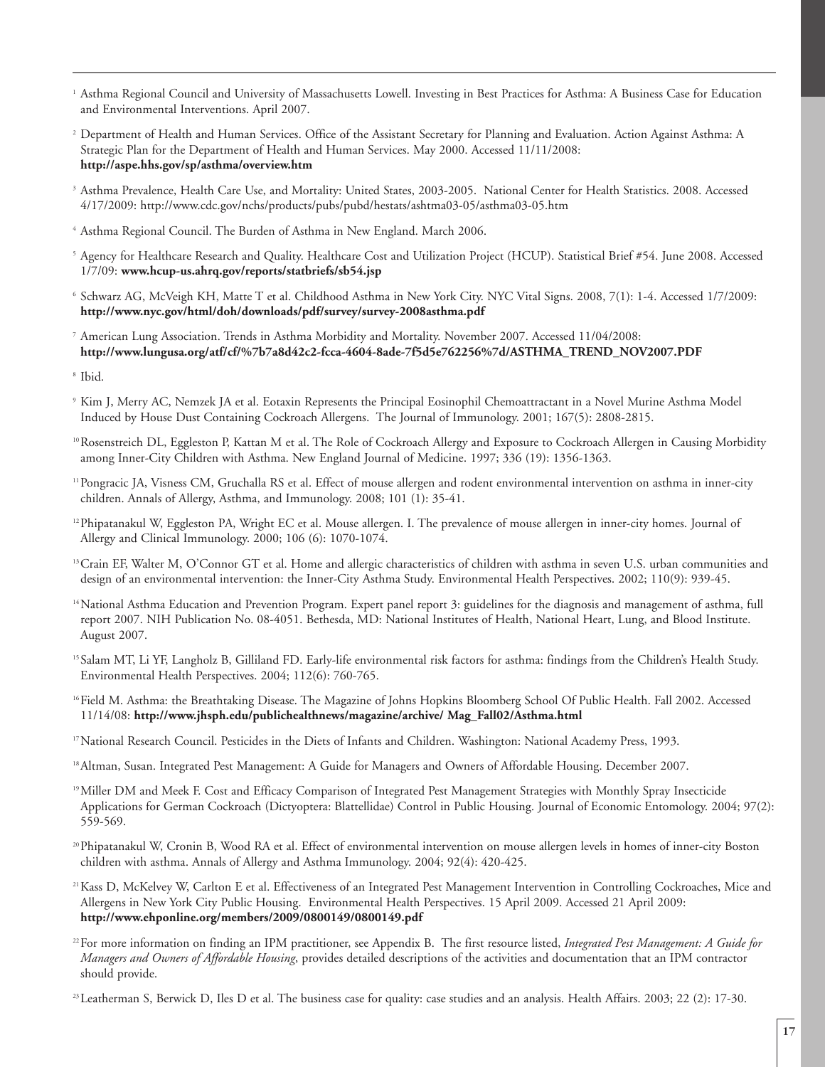- <sup>1</sup> Asthma Regional Council and University of Massachusetts Lowell. Investing in Best Practices for Asthma: A Business Case for Education and Environmental Interventions. April 2007.
- <sup>2</sup> Department of Health and Human Services. Office of the Assistant Secretary for Planning and Evaluation. Action Against Asthma: A Strategic Plan for the Department of Health and Human Services. May 2000. Accessed 11/11/2008: **http://aspe.hhs.gov/sp/asthma/overview.htm**
- <sup>3</sup> Asthma Prevalence, Health Care Use, and Mortality: United States, 2003-2005. National Center for Health Statistics. 2008. Accessed 4/17/2009: http://www.cdc.gov/nchs/products/pubs/pubd/hestats/ashtma03-05/asthma03-05.htm
- <sup>4</sup> Asthma Regional Council. The Burden of Asthma in New England. March 2006.
- <sup>5</sup> Agency for Healthcare Research and Quality. Healthcare Cost and Utilization Project (HCUP). Statistical Brief #54. June 2008. Accessed 1/7/09: **www.hcup-us.ahrq.gov/reports/statbriefs/sb54.jsp**
- <sup>6</sup> Schwarz AG, McVeigh KH, Matte T et al. Childhood Asthma in New York City. NYC Vital Signs. 2008, 7(1): 1-4. Accessed 1/7/2009: **http://www.nyc.gov/html/doh/downloads/pdf/survey/survey-2008asthma.pdf**
- <sup>7</sup> American Lung Association. Trends in Asthma Morbidity and Mortality. November 2007. Accessed 11/04/2008: **http://www.lungusa.org/atf/cf/%7b7a8d42c2-fcca-4604-8ade-7f5d5e762256%7d/ASTHMA\_TREND\_NOV2007.PDF**
- <sup>8</sup> Ibid.
- <sup>9</sup> Kim J, Merry AC, Nemzek JA et al. Eotaxin Represents the Principal Eosinophil Chemoattractant in a Novel Murine Asthma Model Induced by House Dust Containing Cockroach Allergens. The Journal of Immunology. 2001; 167(5): 2808-2815.
- 10Rosenstreich DL, Eggleston P, Kattan M et al. The Role of Cockroach Allergy and Exposure to Cockroach Allergen in Causing Morbidity among Inner-City Children with Asthma. New England Journal of Medicine. 1997; 336 (19): 1356-1363.
- 11Pongracic JA, Visness CM, Gruchalla RS et al. Effect of mouse allergen and rodent environmental intervention on asthma in inner-city children. Annals of Allergy, Asthma, and Immunology. 2008; 101 (1): 35-41.
- <sup>12</sup>Phipatanakul W, Eggleston PA, Wright EC et al. Mouse allergen. I. The prevalence of mouse allergen in inner-city homes. Journal of Allergy and Clinical Immunology. 2000; 106 (6): 1070-1074.
- 13Crain EF, Walter M, O'Connor GT et al. Home and allergic characteristics of children with asthma in seven U.S. urban communities and design of an environmental intervention: the Inner-City Asthma Study. Environmental Health Perspectives. 2002; 110(9): 939-45.
- 14National Asthma Education and Prevention Program. Expert panel report 3: guidelines for the diagnosis and management of asthma, full report 2007. NIH Publication No. 08-4051. Bethesda, MD: National Institutes of Health, National Heart, Lung, and Blood Institute. August 2007.
- <sup>15</sup> Salam MT, Li YF, Langholz B, Gilliland FD. Early-life environmental risk factors for asthma: findings from the Children's Health Study. Environmental Health Perspectives. 2004; 112(6): 760-765.
- 16Field M. Asthma: the Breathtaking Disease. The Magazine of Johns Hopkins Bloomberg School Of Public Health. Fall 2002. Accessed 11/14/08: **http://www.jhsph.edu/publichealthnews/magazine/archive/ Mag\_Fall02/Asthma.html**
- <sup>17</sup>National Research Council. Pesticides in the Diets of Infants and Children. Washington: National Academy Press, 1993.
- <sup>18</sup> Altman, Susan. Integrated Pest Management: A Guide for Managers and Owners of Affordable Housing. December 2007.
- 19Miller DM and Meek F. Cost and Efficacy Comparison of Integrated Pest Management Strategies with Monthly Spray Insecticide Applications for German Cockroach (Dictyoptera: Blattellidae) Control in Public Housing. Journal of Economic Entomology. 2004; 97(2): 559-569.
- 20Phipatanakul W, Cronin B, Wood RA et al. Effect of environmental intervention on mouse allergen levels in homes of inner-city Boston children with asthma. Annals of Allergy and Asthma Immunology. 2004; 92(4): 420-425.
- 21Kass D, McKelvey W, Carlton E et al. Effectiveness of an Integrated Pest Management Intervention in Controlling Cockroaches, Mice and Allergens in New York City Public Housing. Environmental Health Perspectives. 15 April 2009. Accessed 21 April 2009: **http://www.ehponline.org/members/2009/0800149/0800149.pdf**
- 22For more information on finding an IPM practitioner, see Appendix B. The first resource listed, *Integrated Pest Management: A Guide for Managers and Owners of Affordable Housing*, provides detailed descriptions of the activities and documentation that an IPM contractor should provide.
- 23Leatherman S, Berwick D, Iles D et al. The business case for quality: case studies and an analysis. Health Affairs. 2003; 22 (2): 17-30.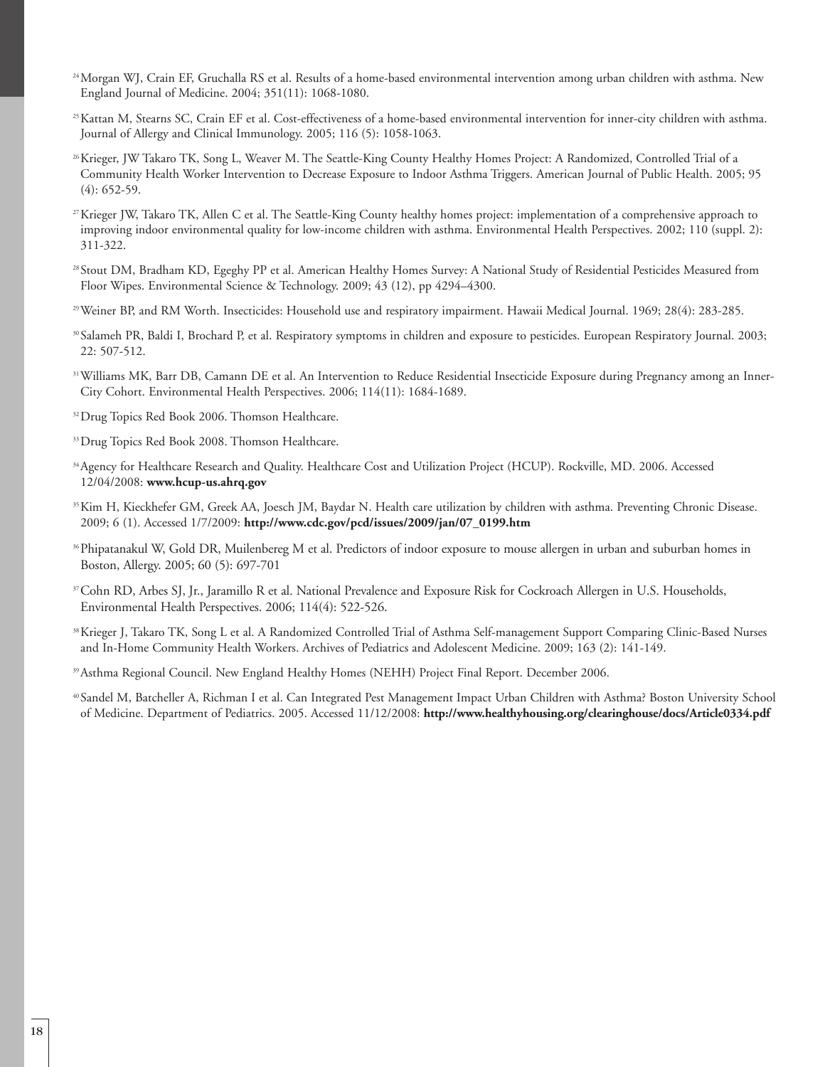- 24Morgan WJ, Crain EF, Gruchalla RS et al. Results of a home-based environmental intervention among urban children with asthma. New England Journal of Medicine. 2004; 351(11): 1068-1080.
- 25Kattan M, Stearns SC, Crain EF et al. Cost-effectiveness of a home-based environmental intervention for inner-city children with asthma. Journal of Allergy and Clinical Immunology. 2005; 116 (5): 1058-1063.
- <sup>26</sup>Krieger, JW Takaro TK, Song L, Weaver M. The Seattle-King County Healthy Homes Project: A Randomized, Controlled Trial of a Community Health Worker Intervention to Decrease Exposure to Indoor Asthma Triggers. American Journal of Public Health. 2005; 95 (4): 652-59.
- <sup>27</sup> Krieger JW, Takaro TK, Allen C et al. The Seattle-King County healthy homes project: implementation of a comprehensive approach to improving indoor environmental quality for low-income children with asthma. Environmental Health Perspectives. 2002; 110 (suppl. 2): 311-322.
- <sup>28</sup> Stout DM, Bradham KD, Egeghy PP et al. American Healthy Homes Survey: A National Study of Residential Pesticides Measured from Floor Wipes. Environmental Science & Technology. 2009; 43 (12), pp 4294–4300.
- 29Weiner BP, and RM Worth. Insecticides: Household use and respiratory impairment. Hawaii Medical Journal. 1969; 28(4): 283-285.
- <sup>30</sup> Salameh PR, Baldi I, Brochard P, et al. Respiratory symptoms in children and exposure to pesticides. European Respiratory Journal. 2003; 22: 507-512.
- 31Williams MK, Barr DB, Camann DE et al. An Intervention to Reduce Residential Insecticide Exposure during Pregnancy among an Inner-City Cohort. Environmental Health Perspectives. 2006; 114(11): 1684-1689.
- <sup>32</sup> Drug Topics Red Book 2006. Thomson Healthcare.
- <sup>33</sup> Drug Topics Red Book 2008. Thomson Healthcare.
- 34Agency for Healthcare Research and Quality. Healthcare Cost and Utilization Project (HCUP). Rockville, MD. 2006. Accessed 12/04/2008: **www.hcup-us.ahrq.gov**
- <sup>35</sup>Kim H, Kieckhefer GM, Greek AA, Joesch JM, Baydar N. Health care utilization by children with asthma. Preventing Chronic Disease. 2009; 6 (1). Accessed 1/7/2009: **http://www.cdc.gov/pcd/issues/2009/jan/07\_0199.htm**
- 36Phipatanakul W, Gold DR, Muilenbereg M et al. Predictors of indoor exposure to mouse allergen in urban and suburban homes in Boston, Allergy. 2005; 60 (5): 697-701
- 37Cohn RD, Arbes SJ, Jr., Jaramillo R et al. National Prevalence and Exposure Risk for Cockroach Allergen in U.S. Households, Environmental Health Perspectives. 2006; 114(4): 522-526.
- <sup>38</sup>Krieger J, Takaro TK, Song L et al. A Randomized Controlled Trial of Asthma Self-management Support Comparing Clinic-Based Nurses and In-Home Community Health Workers. Archives of Pediatrics and Adolescent Medicine. 2009; 163 (2): 141-149.
- 39Asthma Regional Council. New England Healthy Homes (NEHH) Project Final Report. December 2006.

<sup>40</sup> Sandel M, Batcheller A, Richman I et al. Can Integrated Pest Management Impact Urban Children with Asthma? Boston University School of Medicine. Department of Pediatrics. 2005. Accessed 11/12/2008: **http://www.healthyhousing.org/clearinghouse/docs/Article0334.pdf**